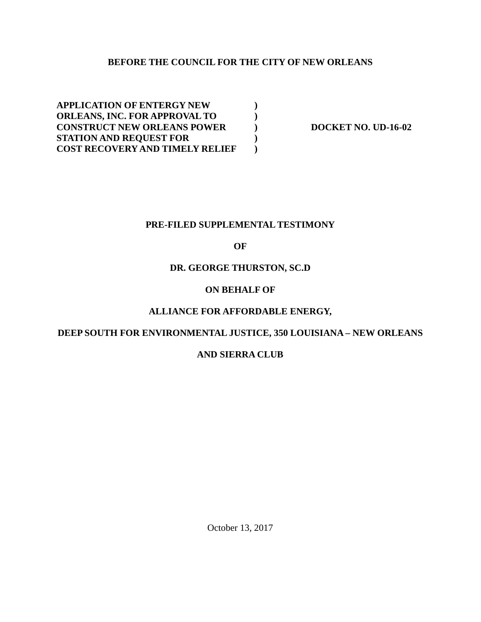## **BEFORE THE COUNCIL FOR THE CITY OF NEW ORLEANS**

**APPLICATION OF ENTERGY NEW ) ORLEANS, INC. FOR APPROVAL TO ) CONSTRUCT NEW ORLEANS POWER DOCKET NO. UD-16-02 STATION AND REQUEST FOR ) COST RECOVERY AND TIMELY RELIEF )**

#### **PRE-FILED SUPPLEMENTAL TESTIMONY**

### **OF**

#### **DR. GEORGE THURSTON, SC.D**

## **ON BEHALF OF**

### **ALLIANCE FOR AFFORDABLE ENERGY,**

## **DEEP SOUTH FOR ENVIRONMENTAL JUSTICE, 350 LOUISIANA – NEW ORLEANS**

#### **AND SIERRA CLUB**

October 13, 2017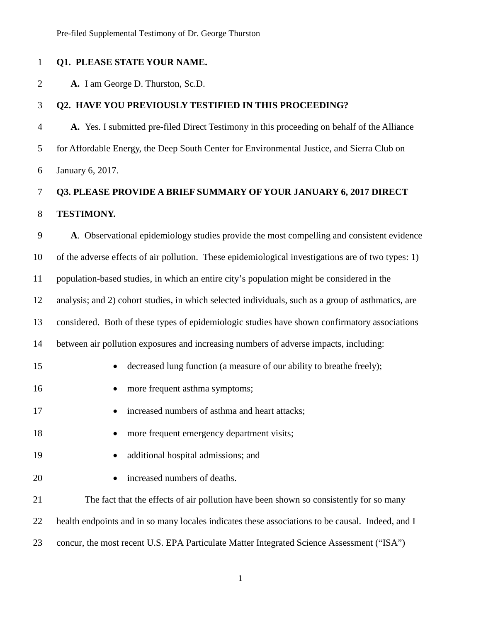#### **Q1. PLEASE STATE YOUR NAME.**

**A.** I am George D. Thurston, Sc.D.

#### **Q2. HAVE YOU PREVIOUSLY TESTIFIED IN THIS PROCEEDING?**

 **A.** Yes. I submitted pre-filed Direct Testimony in this proceeding on behalf of the Alliance for Affordable Energy, the Deep South Center for Environmental Justice, and Sierra Club on January 6, 2017.

# **Q3. PLEASE PROVIDE A BRIEF SUMMARY OF YOUR JANUARY 6, 2017 DIRECT TESTIMONY.**

 **A**. Observational epidemiology studies provide the most compelling and consistent evidence of the adverse effects of air pollution. These epidemiological investigations are of two types: 1) population-based studies, in which an entire city's population might be considered in the analysis; and 2) cohort studies, in which selected individuals, such as a group of asthmatics, are considered. Both of these types of epidemiologic studies have shown confirmatory associations between air pollution exposures and increasing numbers of adverse impacts, including: 15 • decreased lung function (a measure of our ability to breathe freely); 16 • more frequent asthma symptoms; 17 • increased numbers of asthma and heart attacks; 18 • more frequent emergency department visits; 19 • additional hospital admissions; and 20 • increased numbers of deaths. The fact that the effects of air pollution have been shown so consistently for so many 22 health endpoints and in so many locales indicates these associations to be causal. Indeed, and I concur, the most recent U.S. EPA Particulate Matter Integrated Science Assessment ("ISA")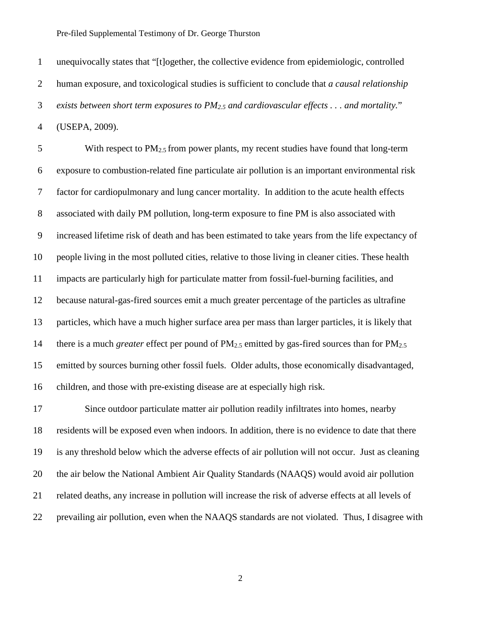unequivocally states that "[t]ogether, the collective evidence from epidemiologic, controlled human exposure, and toxicological studies is sufficient to conclude that *a causal relationship exists between short term exposures to PM2.5 and cardiovascular effects . . . and mortality.*" (USEPA, 2009).

5 With respect to  $PM_{2.5}$  from power plants, my recent studies have found that long-term exposure to combustion-related fine particulate air pollution is an important environmental risk factor for cardiopulmonary and lung cancer mortality. In addition to the acute health effects associated with daily PM pollution, long-term exposure to fine PM is also associated with increased lifetime risk of death and has been estimated to take years from the life expectancy of people living in the most polluted cities, relative to those living in cleaner cities. These health impacts are particularly high for particulate matter from fossil-fuel-burning facilities, and because natural-gas-fired sources emit a much greater percentage of the particles as ultrafine particles, which have a much higher surface area per mass than larger particles, it is likely that there is a much *greater* effect per pound of PM2.5 emitted by gas-fired sources than for PM2.5 emitted by sources burning other fossil fuels. Older adults, those economically disadvantaged, children, and those with pre-existing disease are at especially high risk.

 Since outdoor particulate matter air pollution readily infiltrates into homes, nearby residents will be exposed even when indoors. In addition, there is no evidence to date that there is any threshold below which the adverse effects of air pollution will not occur. Just as cleaning the air below the National Ambient Air Quality Standards (NAAQS) would avoid air pollution related deaths, any increase in pollution will increase the risk of adverse effects at all levels of prevailing air pollution, even when the NAAQS standards are not violated. Thus, I disagree with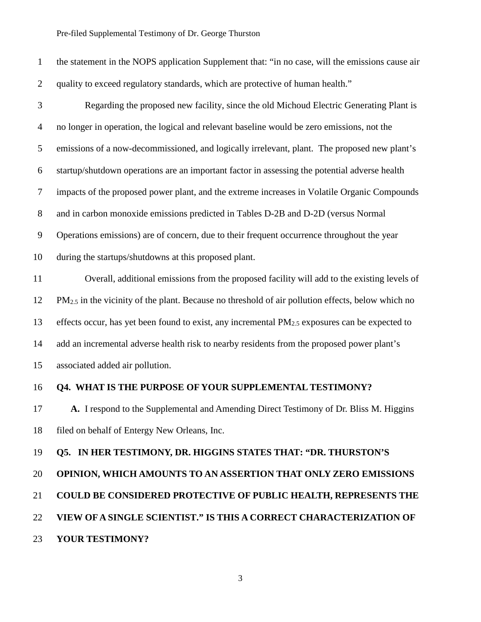| $\mathbf{1}$   | the statement in the NOPS application Supplement that: "in no case, will the emissions cause air       |
|----------------|--------------------------------------------------------------------------------------------------------|
| $\overline{2}$ | quality to exceed regulatory standards, which are protective of human health."                         |
| 3              | Regarding the proposed new facility, since the old Michoud Electric Generating Plant is                |
| $\overline{4}$ | no longer in operation, the logical and relevant baseline would be zero emissions, not the             |
| 5              | emissions of a now-decommissioned, and logically irrelevant, plant. The proposed new plant's           |
| 6              | startup/shutdown operations are an important factor in assessing the potential adverse health          |
| 7              | impacts of the proposed power plant, and the extreme increases in Volatile Organic Compounds           |
| 8              | and in carbon monoxide emissions predicted in Tables D-2B and D-2D (versus Normal                      |
| 9              | Operations emissions) are of concern, due to their frequent occurrence throughout the year             |
| 10             | during the startups/shutdowns at this proposed plant.                                                  |
| 11             | Overall, additional emissions from the proposed facility will add to the existing levels of            |
| 12             | $PM_{2.5}$ in the vicinity of the plant. Because no threshold of air pollution effects, below which no |
| 13             | effects occur, has yet been found to exist, any incremental $PM_{2.5}$ exposures can be expected to    |
| 14             | add an incremental adverse health risk to nearby residents from the proposed power plant's             |
| 15             | associated added air pollution.                                                                        |
| 16             | <b>Q4. WHAT IS THE PURPOSE OF YOUR SUPPLEMENTAL TESTIMONY?</b>                                         |
| 17             | A. I respond to the Supplemental and Amending Direct Testimony of Dr. Bliss M. Higgins                 |
| 18             | filed on behalf of Entergy New Orleans, Inc.                                                           |
| 19             | Q5. IN HER TESTIMONY, DR. HIGGINS STATES THAT: "DR. THURSTON'S                                         |
| 20             | OPINION, WHICH AMOUNTS TO AN ASSERTION THAT ONLY ZERO EMISSIONS                                        |
| 21             | <b>COULD BE CONSIDERED PROTECTIVE OF PUBLIC HEALTH, REPRESENTS THE</b>                                 |
| 22             | VIEW OF A SINGLE SCIENTIST." IS THIS A CORRECT CHARACTERIZATION OF                                     |
| 23             | YOUR TESTIMONY?                                                                                        |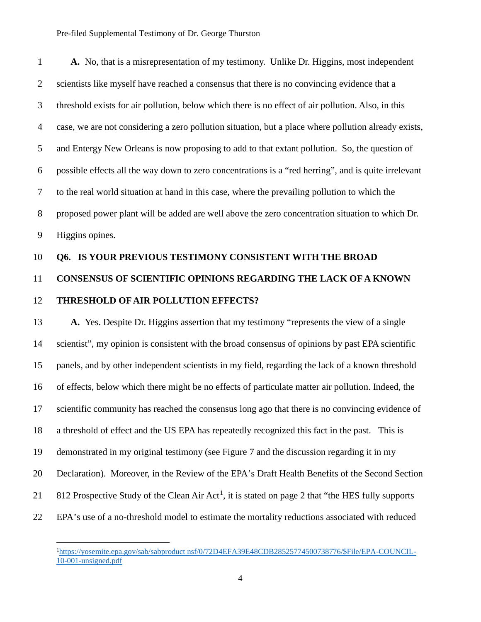1 **A.** No, that is a misrepresentation of my testimony. Unlike Dr. Higgins, most independent 2 scientists like myself have reached a consensus that there is no convincing evidence that a 3 threshold exists for air pollution, below which there is no effect of air pollution. Also, in this 4 case, we are not considering a zero pollution situation, but a place where pollution already exists, 5 and Entergy New Orleans is now proposing to add to that extant pollution. So, the question of 6 possible effects all the way down to zero concentrations is a "red herring", and is quite irrelevant 7 to the real world situation at hand in this case, where the prevailing pollution to which the 8 proposed power plant will be added are well above the zero concentration situation to which Dr. 9 Higgins opines.

#### 10 **Q6. IS YOUR PREVIOUS TESTIMONY CONSISTENT WITH THE BROAD**

# 11 **CONSENSUS OF SCIENTIFIC OPINIONS REGARDING THE LACK OF A KNOWN**  12 **THRESHOLD OF AIR POLLUTION EFFECTS?**

13 **A.** Yes. Despite Dr. Higgins assertion that my testimony "represents the view of a single 14 scientist", my opinion is consistent with the broad consensus of opinions by past EPA scientific 15 panels, and by other independent scientists in my field, regarding the lack of a known threshold 16 of effects, below which there might be no effects of particulate matter air pollution. Indeed, the 17 scientific community has reached the consensus long ago that there is no convincing evidence of 18 a threshold of effect and the US EPA has repeatedly recognized this fact in the past. This is 19 demonstrated in my original testimony (see Figure 7 and the discussion regarding it in my 20 Declaration). Moreover, in the Review of the EPA's Draft Health Benefits of the Second Section 21 812 Prospective Study of the Clean Air Act<sup>1</sup>, it is stated on page 2 that "the HES fully supports" 22 EPA's use of a no-threshold model to estimate the mortality reductions associated with reduced

l

<sup>1</sup> https://yosemite.epa.gov/sab/sabproduct nsf/0/72D4EFA39E48CDB28525774500738776/\$File/EPA-COUNCIL-10-001-unsigned.pdf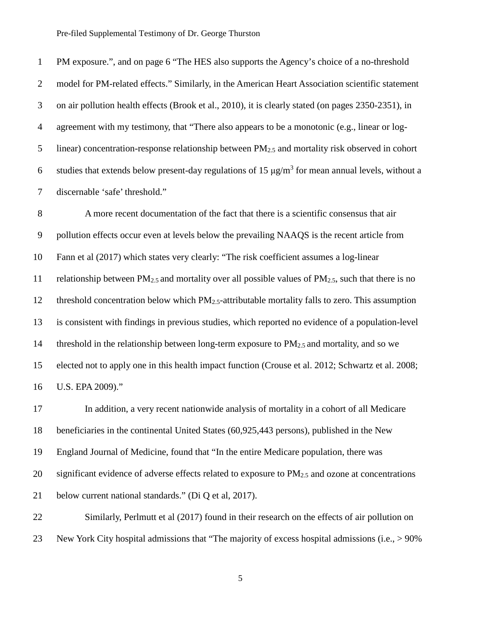PM exposure.", and on page 6 "The HES also supports the Agency's choice of a no-threshold model for PM-related effects." Similarly, in the American Heart Association scientific statement on air pollution health effects (Brook et al., 2010), it is clearly stated (on pages 2350-2351), in agreement with my testimony, that "There also appears to be a monotonic (e.g., linear or log-5 linear) concentration-response relationship between  $PM_{2.5}$  and mortality risk observed in cohort 6 studies that extends below present-day regulations of 15  $\mu$ g/m<sup>3</sup> for mean annual levels, without a discernable 'safe' threshold."

 A more recent documentation of the fact that there is a scientific consensus that air pollution effects occur even at levels below the prevailing NAAQS is the recent article from Fann et al (2017) which states very clearly: "The risk coefficient assumes a log-linear 11 relationship between  $PM_{2.5}$  and mortality over all possible values of  $PM_{2.5}$ , such that there is no 12 threshold concentration below which PM<sub>2.5</sub>-attributable mortality falls to zero. This assumption is consistent with findings in previous studies, which reported no evidence of a population-level 14 threshold in the relationship between long-term exposure to  $PM_{2.5}$  and mortality, and so we elected not to apply one in this health impact function (Crouse et al. 2012; Schwartz et al. 2008; U.S. EPA 2009)."

 In addition, a very recent nationwide analysis of mortality in a cohort of all Medicare beneficiaries in the continental United States (60,925,443 persons), published in the New England Journal of Medicine, found that "In the entire Medicare population, there was 20 significant evidence of adverse effects related to exposure to  $PM_{2.5}$  and ozone at concentrations below current national standards." (Di Q et al, 2017).

 Similarly, Perlmutt et al (2017) found in their research on the effects of air pollution on New York City hospital admissions that "The majority of excess hospital admissions (i.e., > 90%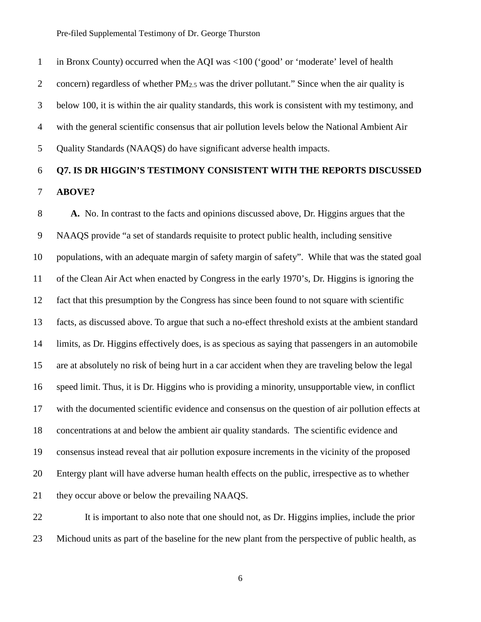in Bronx County) occurred when the AQI was <100 ('good' or 'moderate' level of health 2 concern) regardless of whether  $PM<sub>2.5</sub>$  was the driver pollutant." Since when the air quality is below 100, it is within the air quality standards, this work is consistent with my testimony, and with the general scientific consensus that air pollution levels below the National Ambient Air Quality Standards (NAAQS) do have significant adverse health impacts.

# **Q7. IS DR HIGGIN'S TESTIMONY CONSISTENT WITH THE REPORTS DISCUSSED ABOVE?**

 **A.** No. In contrast to the facts and opinions discussed above, Dr. Higgins argues that the NAAQS provide "a set of standards requisite to protect public health, including sensitive populations, with an adequate margin of safety margin of safety". While that was the stated goal of the Clean Air Act when enacted by Congress in the early 1970's, Dr. Higgins is ignoring the fact that this presumption by the Congress has since been found to not square with scientific facts, as discussed above. To argue that such a no-effect threshold exists at the ambient standard limits, as Dr. Higgins effectively does, is as specious as saying that passengers in an automobile are at absolutely no risk of being hurt in a car accident when they are traveling below the legal speed limit. Thus, it is Dr. Higgins who is providing a minority, unsupportable view, in conflict with the documented scientific evidence and consensus on the question of air pollution effects at concentrations at and below the ambient air quality standards. The scientific evidence and consensus instead reveal that air pollution exposure increments in the vicinity of the proposed Entergy plant will have adverse human health effects on the public, irrespective as to whether they occur above or below the prevailing NAAQS.

 It is important to also note that one should not, as Dr. Higgins implies, include the prior Michoud units as part of the baseline for the new plant from the perspective of public health, as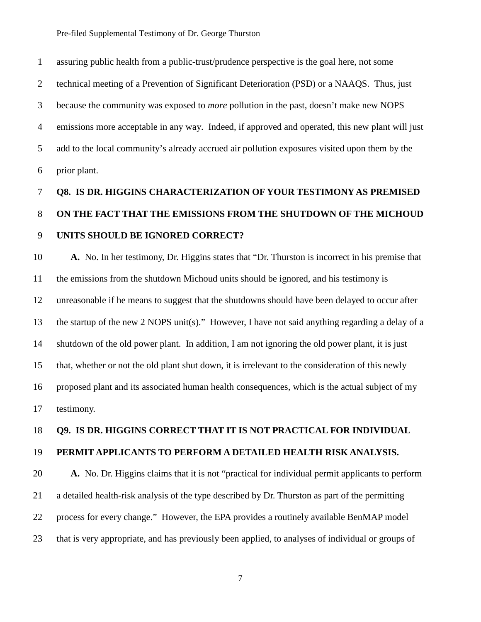assuring public health from a public-trust/prudence perspective is the goal here, not some technical meeting of a Prevention of Significant Deterioration (PSD) or a NAAQS. Thus, just because the community was exposed to *more* pollution in the past, doesn't make new NOPS emissions more acceptable in any way. Indeed, if approved and operated, this new plant will just add to the local community's already accrued air pollution exposures visited upon them by the prior plant.

# **Q8. IS DR. HIGGINS CHARACTERIZATION OF YOUR TESTIMONY AS PREMISED ON THE FACT THAT THE EMISSIONS FROM THE SHUTDOWN OF THE MICHOUD UNITS SHOULD BE IGNORED CORRECT?**

 **A.** No. In her testimony, Dr. Higgins states that "Dr. Thurston is incorrect in his premise that the emissions from the shutdown Michoud units should be ignored, and his testimony is unreasonable if he means to suggest that the shutdowns should have been delayed to occur after the startup of the new 2 NOPS unit(s)."However, I have not said anything regarding a delay of a shutdown of the old power plant. In addition, I am not ignoring the old power plant, it is just that, whether or not the old plant shut down, it is irrelevant to the consideration of this newly proposed plant and its associated human health consequences, which is the actual subject of my testimony.

#### **Q9. IS DR. HIGGINS CORRECT THAT IT IS NOT PRACTICAL FOR INDIVIDUAL**

#### **PERMIT APPLICANTS TO PERFORM A DETAILED HEALTH RISK ANALYSIS.**

 **A.** No. Dr. Higgins claims that it is not "practical for individual permit applicants to perform a detailed health-risk analysis of the type described by Dr. Thurston as part of the permitting process for every change." However, the EPA provides a routinely available BenMAP model that is very appropriate, and has previously been applied, to analyses of individual or groups of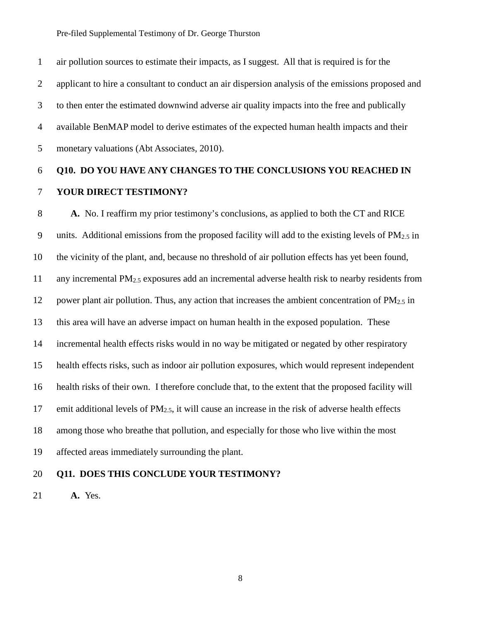air pollution sources to estimate their impacts, as I suggest. All that is required is for the applicant to hire a consultant to conduct an air dispersion analysis of the emissions proposed and to then enter the estimated downwind adverse air quality impacts into the free and publically available BenMAP model to derive estimates of the expected human health impacts and their monetary valuations (Abt Associates, 2010).

# **Q10. DO YOU HAVE ANY CHANGES TO THE CONCLUSIONS YOU REACHED IN YOUR DIRECT TESTIMONY?**

 **A.** No. I reaffirm my prior testimony's conclusions, as applied to both the CT and RICE 9 units. Additional emissions from the proposed facility will add to the existing levels of  $PM_{2.5}$  in the vicinity of the plant, and, because no threshold of air pollution effects has yet been found, any incremental PM2.5 exposures add an incremental adverse health risk to nearby residents from 12 power plant air pollution. Thus, any action that increases the ambient concentration of  $PM_{2.5}$  in this area will have an adverse impact on human health in the exposed population. These incremental health effects risks would in no way be mitigated or negated by other respiratory health effects risks, such as indoor air pollution exposures, which would represent independent health risks of their own. I therefore conclude that, to the extent that the proposed facility will 17 emit additional levels of  $PM_{2.5}$ , it will cause an increase in the risk of adverse health effects among those who breathe that pollution, and especially for those who live within the most affected areas immediately surrounding the plant.

#### **Q11. DOES THIS CONCLUDE YOUR TESTIMONY?**

**A.** Yes.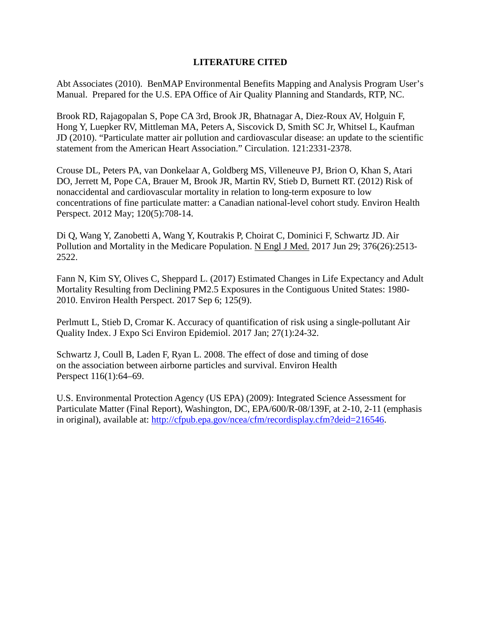### **LITERATURE CITED**

Abt Associates (2010). BenMAP Environmental Benefits Mapping and Analysis Program User's Manual. Prepared for the U.S. EPA Office of Air Quality Planning and Standards, RTP, NC.

Brook RD, Rajagopalan S, Pope CA 3rd, Brook JR, Bhatnagar A, Diez-Roux AV, Holguin F, Hong Y, Luepker RV, Mittleman MA, Peters A, Siscovick D, Smith SC Jr, Whitsel L, Kaufman JD (2010). "Particulate matter air pollution and cardiovascular disease: an update to the scientific statement from the American Heart Association." Circulation. 121:2331-2378.

Crouse DL, Peters PA, van Donkelaar A, Goldberg MS, Villeneuve PJ, Brion O, Khan S, Atari DO, Jerrett M, Pope CA, Brauer M, Brook JR, Martin RV, Stieb D, Burnett RT. (2012) Risk of nonaccidental and cardiovascular mortality in relation to long-term exposure to low concentrations of fine particulate matter: a Canadian national-level cohort study. Environ Health Perspect. 2012 May; 120(5):708-14.

Di Q, Wang Y, Zanobetti A, Wang Y, Koutrakis P, Choirat C, Dominici F, Schwartz JD. Air Pollution and Mortality in the Medicare Population. N Engl J Med. 2017 Jun 29; 376(26):2513- 2522.

Fann N, Kim SY, Olives C, Sheppard L. (2017) Estimated Changes in Life Expectancy and Adult Mortality Resulting from Declining PM2.5 Exposures in the Contiguous United States: 1980- 2010. Environ Health Perspect. 2017 Sep 6; 125(9).

Perlmutt L, Stieb D, Cromar K. Accuracy of quantification of risk using a single-pollutant Air Quality Index. J Expo Sci Environ Epidemiol. 2017 Jan; 27(1):24-32.

Schwartz J, Coull B, Laden F, Ryan L. 2008. The effect of dose and timing of dose on the association between airborne particles and survival. Environ Health Perspect 116(1):64–69.

U.S. Environmental Protection Agency (US EPA) (2009): Integrated Science Assessment for Particulate Matter (Final Report), Washington, DC, EPA/600/R-08/139F, at 2-10, 2-11 (emphasis in original), available at: http://cfpub.epa.gov/ncea/cfm/recordisplay.cfm?deid=216546.